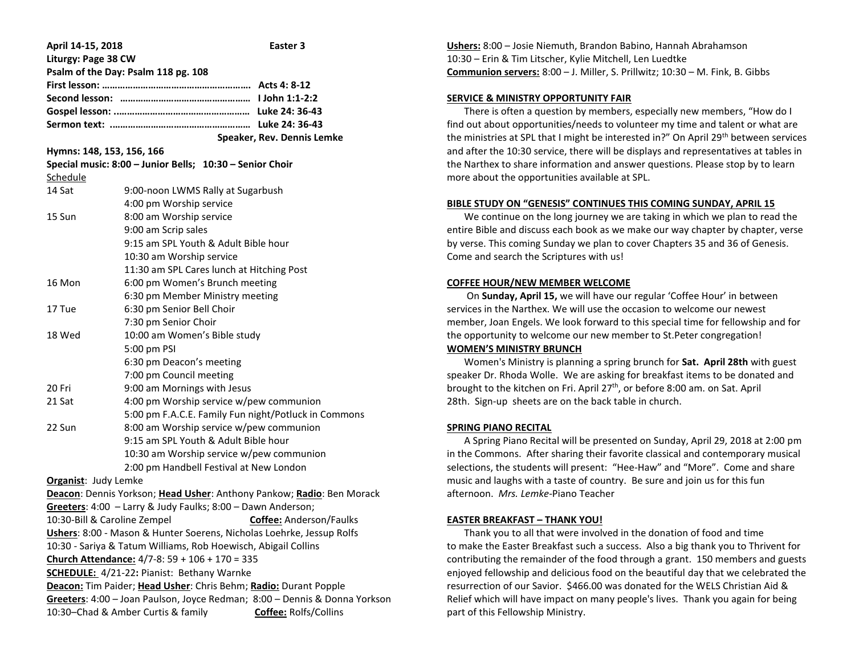| April 14-15, 2018                                                          | Easter 3                                                              |
|----------------------------------------------------------------------------|-----------------------------------------------------------------------|
| Liturgy: Page 38 CW                                                        |                                                                       |
| Psalm of the Day: Psalm 118 pg. 108                                        |                                                                       |
|                                                                            |                                                                       |
|                                                                            |                                                                       |
|                                                                            |                                                                       |
|                                                                            |                                                                       |
|                                                                            | Speaker, Rev. Dennis Lemke                                            |
| Hymns: 148, 153, 156, 166                                                  |                                                                       |
|                                                                            | Special music: 8:00 - Junior Bells; 10:30 - Senior Choir              |
| Schedule                                                                   |                                                                       |
| 14 Sat                                                                     | 9:00-noon LWMS Rally at Sugarbush                                     |
|                                                                            | 4:00 pm Worship service                                               |
| 15 Sun                                                                     | 8:00 am Worship service                                               |
|                                                                            | 9:00 am Scrip sales                                                   |
|                                                                            | 9:15 am SPL Youth & Adult Bible hour                                  |
|                                                                            | 10:30 am Worship service                                              |
| 16 Mon                                                                     | 11:30 am SPL Cares lunch at Hitching Post                             |
|                                                                            | 6:00 pm Women's Brunch meeting<br>6:30 pm Member Ministry meeting     |
| 17 Tue                                                                     | 6:30 pm Senior Bell Choir                                             |
|                                                                            | 7:30 pm Senior Choir                                                  |
| 18 Wed                                                                     | 10:00 am Women's Bible study                                          |
|                                                                            | 5:00 pm PSI                                                           |
|                                                                            | 6:30 pm Deacon's meeting                                              |
|                                                                            | 7:00 pm Council meeting                                               |
| 20 Fri                                                                     | 9:00 am Mornings with Jesus                                           |
| 21 Sat                                                                     | 4:00 pm Worship service w/pew communion                               |
|                                                                            | 5:00 pm F.A.C.E. Family Fun night/Potluck in Commons                  |
| 22 Sun                                                                     | 8:00 am Worship service w/pew communion                               |
|                                                                            | 9:15 am SPL Youth & Adult Bible hour                                  |
|                                                                            | 10:30 am Worship service w/pew communion                              |
|                                                                            | 2:00 pm Handbell Festival at New London                               |
| <b>Organist: Judy Lemke</b>                                                |                                                                       |
|                                                                            | Deacon: Dennis Yorkson; Head Usher: Anthony Pankow; Radio: Ben Morack |
|                                                                            | Greeters: 4:00 - Larry & Judy Faulks; 8:00 - Dawn Anderson;           |
|                                                                            | 10:30-Bill & Caroline Zempel <b>Coffee:</b> Anderson/Faulks           |
| Ushers: 8:00 - Mason & Hunter Soerens, Nicholas Loehrke, Jessup Rolfs      |                                                                       |
| 10:30 - Sariya & Tatum Williams, Rob Hoewisch, Abigail Collins             |                                                                       |
| Church Attendance: 4/7-8: 59 + 106 + 170 = 335                             |                                                                       |
| <b>SCHEDULE:</b> 4/21-22: Pianist: Bethany Warnke                          |                                                                       |
| Deacon: Tim Paider; Head Usher: Chris Behm; Radio: Durant Popple           |                                                                       |
| Greeters: 4:00 - Joan Paulson, Joyce Redman; 8:00 - Dennis & Donna Yorkson |                                                                       |
| 10:30-Chad & Amber Curtis & family<br>Coffee: Rolfs/Collins                |                                                                       |

**Ushers:** 8:00 – Josie Niemuth, Brandon Babino, Hannah Abrahamson 10:30 – Erin & Tim Litscher, Kylie Mitchell, Len Luedtke **Communion servers:** 8:00 – J. Miller, S. Prillwitz; 10:30 – M. Fink, B. Gibbs

## **SERVICE & MINISTRY OPPORTUNITY FAIR**

 There is often a question by members, especially new members, "How do I find out about opportunities/needs to volunteer my time and talent or what are the ministries at SPL that I might be interested in?" On April 29th between services and after the 10:30 service, there will be displays and representatives at tables in the Narthex to share information and answer questions. Please stop by to learn more about the opportunities available at SPL.

### **BIBLE STUDY ON "GENESIS" CONTINUES THIS COMING SUNDAY, APRIL 15**

 We continue on the long journey we are taking in which we plan to read the entire Bible and discuss each book as we make our way chapter by chapter, verse by verse. This coming Sunday we plan to cover Chapters 35 and 36 of Genesis. Come and search the Scriptures with us!

### **COFFEE HOUR/NEW MEMBER WELCOME**

 On **Sunday, April 15,** we will have our regular 'Coffee Hour' in between services in the Narthex. We will use the occasion to welcome our newest member, Joan Engels. We look forward to this special time for fellowship and for the opportunity to welcome our new member to St.Peter congregation!

## **WOMEN'S MINISTRY BRUNCH**

 Women's Ministry is planning a spring brunch for **Sat. April 28th** with guest speaker Dr. Rhoda Wolle. We are asking for breakfast items to be donated and brought to the kitchen on Fri. April 27<sup>th</sup>, or before 8:00 am. on Sat. April 28th. Sign-up sheets are on the back table in church.

#### **SPRING PIANO RECITAL**

 A Spring Piano Recital will be presented on Sunday, April 29, 2018 at 2:00 pm in the Commons. After sharing their favorite classical and contemporary musical selections, the students will present: "Hee-Haw" and "More". Come and share music and laughs with a taste of country. Be sure and join us for this fun afternoon. *Mrs. Lemke*-Piano Teacher

#### **EASTER BREAKFAST – THANK YOU!**

 Thank you to all that were involved in the donation of food and time to make the Easter Breakfast such a success. Also a big thank you to Thrivent for contributing the remainder of the food through a grant. 150 members and guests enjoyed fellowship and delicious food on the beautiful day that we celebrated the resurrection of our Savior. \$466.00 was donated for the WELS Christian Aid & Relief which will have impact on many people's lives. Thank you again for being part of this Fellowship Ministry.